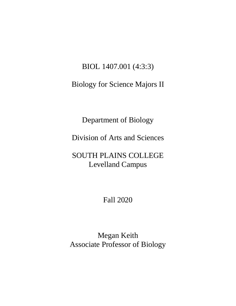## BIOL 1407.001 (4:3:3)

## Biology for Science Majors II

Department of Biology

Division of Arts and Sciences

# SOUTH PLAINS COLLEGE Levelland Campus

Fall 2020

Megan Keith Associate Professor of Biology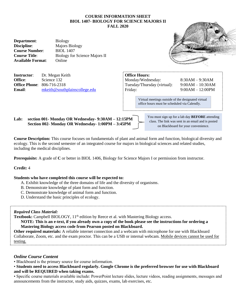#### **COURSE INFORMATION SHEET BIOL 1407- BIOLOGY FOR SCIENCE MAJORS II FALL 2020**

**Department**: Biology **Discipline:** Majors Biology **Course Number**: BIOL 1407 **Course Title**: Biology for Science Majors II **Available Format**: Online

**Instructor:** Dr. Megan Keith **Dr. 1998 Office Hours: Office**: Science 132 Science 132 Monday/Wednesday: 8:30AM – 9:30AM **Office Phone**: 806-716-2318 <br>Tuesday/Thursday (virtual): 9:00AM – 10:30AM **Email**: [mkeith@southplainscollege.edu](mailto:mkeith@southplainscollege.edu) Friday: 9:00AM – 12:00PM



Virtual meetings outside of the designated virtual office hours must be scheduled via Calendly.

#### **Lab: section 001- Monday OR Wednesday- 9:30AM – 12:15PM Section 002- Monday OR Wednesday- 1:00PM – 3:45PM**

You must sign up for a lab day **BEFORE** attending class. The link was sent in an email and is posted on Blackboard for your convenience.

**Course Description:** This course focuses on fundamentals of plant and animal form and function, biological diversity and ecology. This is the second semester of an integrated course for majors in biological sciences and related studies, including the medical disciplines.

**Prerequisite:** A grade of **C** or better in BIOL 1406, Biology for Science Majors I or permission from instructor.

**Credit:** 4

#### **Students who have completed this course will be expected to:**

- A. Exhibit knowledge of the three domains of life and the diversity of organisms.
- B. Demonstrate knowledge of plant form and function.
- C. Demonstrate knowledge of animal form and function.
- D. Understand the basic principles of ecology.

#### *Required Class Material:*

Textbook: Campbell BIOLOGY, 11<sup>th</sup> edition by Reece et al. with Mastering Biology access.

**NOTE: This is an e-text, if you already own a copy of the book please see the instructions for ordering a Mastering Biology access code from Pearson posted on Blackboard.** 

**Other required materials:** A reliable internet connection and a webcam with microphone for use with Blackboard Collaborate, Zoom, etc. and the exam proctor. This can be a USB or internal webcam. Mobile devices cannot be used for testing.

#### *Online Course Content*

• Blackboard is the primary source for course information.

• **Students need to access Blackboard regularly. Google Chrome is the preferred browser for use with Blackboard and will be REQUIRED when taking exams.**

• Specific course materials available include: PowerPoint lecture slides, lecture videos, reading assignments, messages and announcements from the instructor, study aids, quizzes, exams, lab exercises, etc.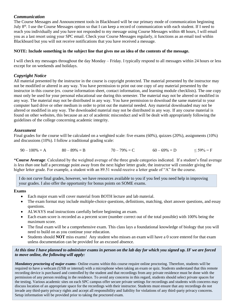#### *Communication*

The Course Messages and Announcement tools in Blackboard will be our primary mode of communication beginning July  $8<sup>th</sup>$ . I use the Course Messages option so that I can keep a record of communication with each student. If I need to reach you individually and you have not responded to my message using Course Messages within 48 hours, I will email you as a last resort using your SPC email. Check your Course Messages regularly, it functions as an email tool within Blackboard but you will not receive notifications that you have received a message.

#### **NOTE: Include something in the subject line that gives me an idea of the contents of the message.**

I will check my messages throughout the day Monday – Friday. I typically respond to all messages within 24 hours or less except for on weekends and holidays.

#### *Copyright Notice*

All material presented by the instructor in the course is copyright protected. The material presented by the instructor may not be modified or altered in any way. You have permission to print out one copy of any material presented by the instructor in this course (ex. course information sheet, contact information, and learning module checklists). The one copy must only be used for your personal educational use during this semester. The material may not be altered or modified in any way. The material may not be distributed in any way. You have permission to download the same material to your computer hard drive or other medium in order to print out the material needed. Any material downloaded may not be altered or modified in any way. The downloaded material may not be distributed in any way. If any course material is found on other websites, this because an act of academic misconduct and will be dealt with appropriately following the guidelines of the college concerning academic integrity.

#### *Assessment*

Final grades for the course will be calculated on a weighted scale: five exams (60%), quizzes (20%), assignments (10%) and discussions (10%). I follow a traditional grading scale:

 $90 - 100\% = A$   $80 - 89\% = B$   $70 - 79\% = C$   $60 - 69\% = D$   $59\% = F$ 

\***Course Average**: Calculated by the weighted average of the three grade categories indicated. If a student's final average *is less than* one half a percentage point away from the next higher letter grade, the instructor will consider giving the higher letter grade. For example, a student with an 89.51 would receive a letter grade of "A" for the course.

I do not curve final grades, however, we have resources available to you if you feel you need help in improving your grades. I also offer the opportunity for bonus points on SOME exams.

#### **Exams**

- Each major exam will cover material from BOTH lecture and lab material.
- The exam format may include multiple-choice questions, definitions, matching, short answer questions, and essay questions.
- ALWAYS read instructions carefully before beginning an exam.
- Each exam score is recorded as a percent score (number correct out of the total possible) with 100% being the maximum score.
- The final exam will be a comprehensive exam. This class lays a foundational knowledge of biology that you will need to build on as you continue your education.
- Students should **NOT** miss exams! Any student who misses an exam will have a 0 score entered for that exam unless documentation can be provided for an excused absence.

#### *At this time I have planned to administer exams in person on the lab day for which you signed up. IF we are forced to move online, the following will apply:*

*Mandatory proctoring of major exams-* Online exams within this course require online proctoring. Therefore, students will be required to have a webcam (USB or internal) with a microphone when taking an exam or quiz. Students understand that this remote recording device is purchased and controlled by the student and that recordings from any private residence must be done with the permission of any person residing in the residence. To avoid any concerns in this regard, students should select private spaces for the testing. Various academic sites on each SPC campus offer secure private settings for recordings and students with concerns may discuss location of an appropriate space for the recordings with their instructor. Students must ensure that any recordings do not invade any third-party privacy rights and accept all responsibility and liability for violations of any third-party privacy concerns. Setup information will be provided prior to taking the proctored exam.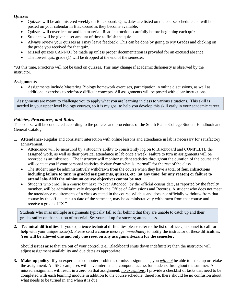#### **Quizzes**

- Quizzes will be administered weekly on Blackboard. Quiz dates are listed on the course schedule and will be posted on your calendar in Blackboard as they become available.
- Quizzes will cover lecture and lab material. Read instructions carefully before beginning each quiz.
- Students will be given a set amount of time to finish the quiz.
- Always review your quizzes as I may leave feedback. This can be done by going to My Grades and clicking on the grade you received for that quiz.
- Missed quizzes CANNOT be made up unless proper documentation is provided for an excused absence.
- The lowest quiz grade (1) will be dropped at the end of the semester.

\*At this time, Proctorio will not be used on quizzes. This may change if academic dishonesty is observed by the instructor.

#### **Assignments**

• Assignments include Mastering Biology homework exercises, participation in online discussions, as well as additional exercises to reinforce difficult concepts. All assignments will be posted with clear instructions.

Assignments are meant to challenge you to apply what you are learning in class to various situations. This skill is needed in your upper level biology courses, so it is my goal to help you develop this skill early in your academic career.

#### *Policies, Procedures, and Rules*

This course will be conducted according to the policies and procedures of the South Plains College Student Handbook and General Catalog.

- **1. Attendance-** Regular and consistent interaction with online lessons and attendance in lab is necessary for satisfactory achievement.
	- Attendance will be measured by a student's ability to consistently log on to Blackboard and COMPLETE the assigned work, as well as their physical attendance in lab once a week. Failure to turn in assignments will be recorded as an "absence." The instructor will monitor student statistics throughout the duration of the course and will contact you if your personal statistics deviate from what is "normal" for the rest of the class.
	- The student may be administratively withdrawn from the course when they have a total of **four infractions including failure to turn in graded assignments, quizzes, etc. (at any time; for any reason) or failure to attend labs AND the minimum course objectives cannot be met.**
	- Students who enroll in a course but have "Never Attended" by the official census date, as reported by the faculty member, will be administratively dropped by the Office of Admissions and Records. A student who does not meet the attendance requirements of a class as stated in the course syllabus and does not officially withdraw from that course by the official census date of the semester, may be administratively withdrawn from that course and receive a grade of "X."

Students who miss multiple assignments typically fall so far behind that they are unable to catch up and their grades suffer on that section of material. Set yourself up for success; attend class.

**2. Technical difficulties**- If you experience technical difficulties please refer to the list of offices/personnel to call for help with your unique issue(s). Please send a course message *immediately* to notify the instructor of these difficulties. **You will be allowed one and only one reset on any assignment/exam for the semester.**

Should issues arise that are out of your control (i.e., Blackboard shuts down indefinitely) then the instructor will adjust assignment availability and due dates as appropriate.

**3. Make-up policy**- If you experience computer problems or miss assignments, you *will not* be able to make up or retake the assignment. All SPC campuses will have internet and computer access for students throughout the summer. A missed assignment will result in a zero on that assignment, *no exceptions*. I provide a checklist of tasks that need to be completed with each learning module in addition to the course schedule, therefore, there should be no confusion about what needs to be turned in and when it is due.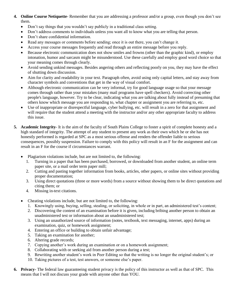- **4. Online Course Netiquette** Remember that you are addressing a professor and/or a group, even though you don't see them.
	- Don't say things that you wouldn't say publicly in a traditional class setting.
	- Don't address comments to individuals unless you want all to know what you are telling that person.
	- Don't share confidential information.
	- Read any messages or comments before sending; once it is out there, you can't change it.
	- Access your course messages frequently and read through an entire message before you reply.
	- Because electronic communication does not show smiles and frowns (other than the graphic kind), or employ intonation, humor and sarcasm might be misunderstood. Use these carefully and employ good word choice so that your meaning comes through clearly.
	- Avoid sending unkind messages. Besides angering others and reflecting poorly on you, they may have the effect of shutting down discussion.
	- Aim for clarity and readability in your text. Paragraph often, avoid using only capital letters, and stay away from character symbols and conventions that get in the way of visual comfort.
	- Although electronic communication can be very informal, try for good language usage so that your message comes through rather than your mistakes (many mail programs have spell checkers). Avoid correcting other people's language, however. Try to be clear, indicating what you are talking about fully instead of presuming that others know which message you are responding to, what chapter or assignment you are referring to, etc.
	- Use of inappropriate or disrespectful language, cyber bullying, etc. will result in a zero for that assignment and will require that the student attend a meeting with the instructor and/or any other appropriate faculty to address this issue.
- **5. Academic Integrity** It is the aim of the faculty of South Plains College to foster a spirit of complete honesty and a high standard of integrity. The attempt of any student to present any work as their own which he or she has not honestly performed is regarded at SPC as a most serious offense and renders the offender liable to serious consequences, possibly suspension. Failure to comply with this policy will result in an F for the assignment and can result in an F for the course if circumstances warrant.
	- Plagiarism violations include, but are not limited to, the following:
		- 1. Turning in a paper that has been purchased, borrowed, or downloaded from another student, an online term paper site, or a mail order term paper mill;
		- 2. Cutting and pasting together information from books, articles, other papers, or online sites without providing proper documentation;
		- 3. Using direct quotations (three or more words) from a source without showing them to be direct quotations and citing them; or
		- 4. Missing in-text citations.
	- Cheating violations include, but are not limited to, the following:
		- 1. Knowingly using, buying, selling, stealing, or soliciting, in whole or in part, an administered test's content;
		- 2. Discovering the content of an examination before it is given, including bribing another person to obtain an unadministered test or information about an unadministered test;
		- 3. Using an unauthorized source of information (notes, textbook, text messaging, internet, apps) during an examination, quiz, or homework assignment;
		- 4. Entering an office or building to obtain unfair advantage;
		- 5. Taking an examination for another;
		- 6. Altering grade records;
		- 7. Copying another's work during an examination or on a homework assignment;
		- 8. Collaborating with or seeking aid from another person during a test;
		- 9. Rewriting another student's work in Peer Editing so that the writing is no longer the original student's; or
		- 10. Taking pictures of a test, test answers, or someone else's paper.
- **6. Privacy-** The federal law guaranteeing student privacy is the policy of this instructor as well as that of SPC. This means that I will not discuss your grade with anyone other than YOU.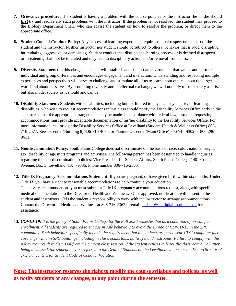- **7. Grievance procedure:** If a student is having a problem with the course policies or the instructor, he or she should *first* try and resolve any such problems with the instructor. If the problem is not resolved, the student may proceed to the Biology Department Chair, who can advise the student on how to resolve the problem, or direct them to the appropriate office.
- **8. Student Code of Conduct Policy:** Any successful learning experience requires mutual respect on the part of the student and the instructor. Neither instructor nor student should be subject to others' behavior that is rude, disruptive, intimidating, aggressive, or demeaning**.** Student conduct that disrupts the learning process or is deemed disrespectful or threatening shall not be tolerated and may lead to disciplinary action and/or removal from class.
- **9. Diversity Statement:** In this class, the teacher will establish and support an environment that values and nurtures individual and group differences and encourages engagement and interaction. Understanding and respecting multiple experiences and perspectives will serve to challenge and stimulate all of us to learn about others, about the larger world and about ourselves. By promoting diversity and intellectual exchange, we will not only mirror society as it is, but also model society as it should and can be.
- **10. Disability Statement:** Students with disabilities, including but not limited to physical, psychiatric, or learning disabilities, who wish to request accommodations in this class should notify the Disability Services Office early in the semester so that the appropriate arrangements may be made. In accordance with federal law, a student requesting accommodations must provide acceptable documentation of his/her disability to the Disability Services Office. For more information, call or visit the Disability Services Office at Levelland (Student Health & Wellness Office) 806- 716-2577, Reese Center (Building 8) 806-716-4675, or Plainview Center (Main Office) 806-716-4302 or 806-296- 9611.
- **11. Nondiscrimination Policy:** South Plains College does not discriminate on the basis of race, color, national origin, sex, disability or age in its programs and activities. The following person has been designated to handle inquiries regarding the non-discrimination policies: Vice President for Student Affairs, South Plains College, 1401 College Avenue, Box 5, Levelland, TX 79336. Phone number 806-716-2360.
- **12. Title IX Pregnancy Accommodations Statement:** If you are pregnant, or have given birth within six months, Under Title IX you have a right to reasonable accommodations to help continue your education. To [activate](http://www.southplainscollege.edu/employees/manualshandbooks/facultyhandbook/sec4.php) accommodations you must submit a Title IX pregnancy accommodations request, along with specific medical documentation, to the Director of Health and Wellness. Once approved, notification will be sent to the student and instructors. It is the student's responsibility to work with the instructor to arrange accommodations. Contact the Director of Health and Wellness at 806-716-2362 or email [cgilster@southplainscollege.edu](mailto:cgilster@southplainscollege.edu) for assistance.
- **13.** *COVID-19: It is the policy of South Plains College for the Fall 2020 semester that as a condition of on-campus enrollment, all students are required to engage in safe behaviors to avoid the spread of COVID-19 in the SPC community. Such behaviors specifically include the requirement that all students properly wear CDC-compliant face coverings while in SPC buildings including in classrooms, labs, hallways, and restrooms. Failure to comply with this policy may result in dismissal from the current class session. If the student refuses to leave the classroom or lab after*  being dismissed, the student may be referred to the Dean of Students on the Levelland campus or the Dean/Director of *external centers for Student Code of Conduct Violation.*

### Note: The instructor reserves the right to modify the course syllabus and policies, as well **as notify students of any changes, at any point during the semester.**